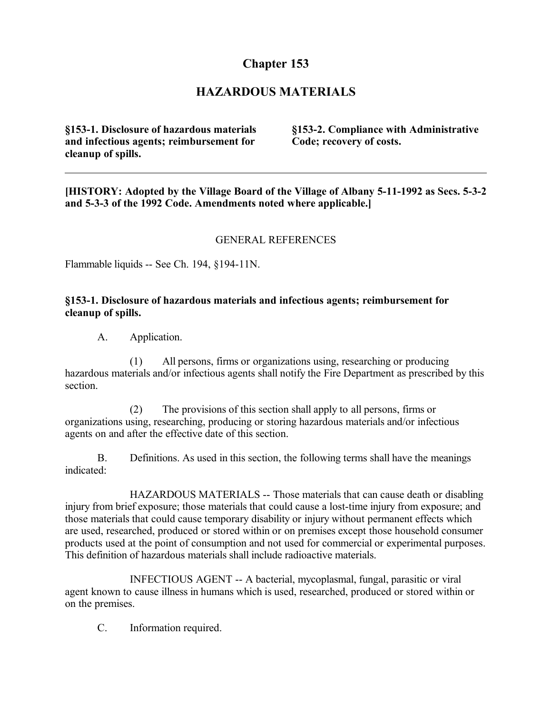# **Chapter 153**

## **HAZARDOUS MATERIALS**

**§153-1. Disclosure of hazardous materials and infectious agents; reimbursement for cleanup of spills.**

**§153-2. Compliance with Administrative Code; recovery of costs.**

**[HISTORY: Adopted by the Village Board of the Village of Albany 5-11-1992 as Secs. 5-3-2 and 5-3-3 of the 1992 Code. Amendments noted where applicable.]**

#### GENERAL REFERENCES

Flammable liquids -- See Ch. 194, §194-11N.

#### **§153-1. Disclosure of hazardous materials and infectious agents; reimbursement for cleanup of spills.**

A. Application.

(1) All persons, firms or organizations using, researching or producing hazardous materials and/or infectious agents shall notify the Fire Department as prescribed by this section.

(2) The provisions of this section shall apply to all persons, firms or organizations using, researching, producing or storing hazardous materials and/or infectious agents on and after the effective date of this section.

B. Definitions. As used in this section, the following terms shall have the meanings indicated:

HAZARDOUS MATERIALS -- Those materials that can cause death or disabling injury from brief exposure; those materials that could cause a lost-time injury from exposure; and those materials that could cause temporary disability or injury without permanent effects which are used, researched, produced or stored within or on premises except those household consumer products used at the point of consumption and not used for commercial or experimental purposes. This definition of hazardous materials shall include radioactive materials.

INFECTIOUS AGENT -- A bacterial, mycoplasmal, fungal, parasitic or viral agent known to cause illness in humans which is used, researched, produced or stored within or on the premises.

C. Information required.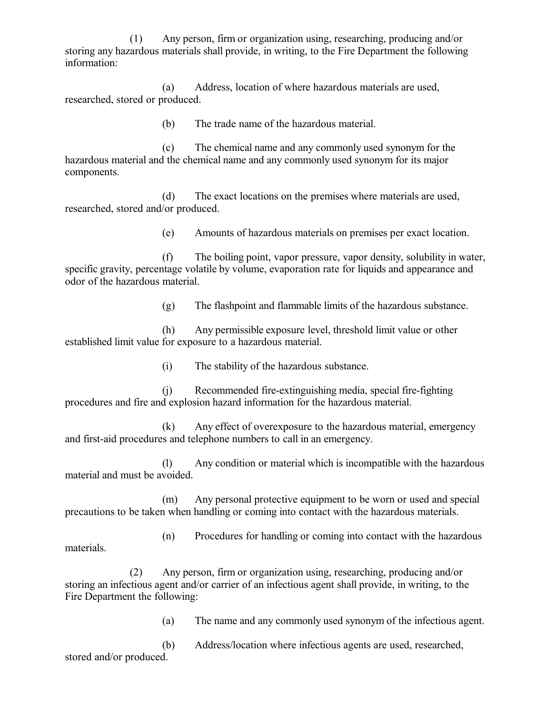(1) Any person, firm or organization using, researching, producing and/or storing any hazardous materials shall provide, in writing, to the Fire Department the following information:

(a) Address, location of where hazardous materials are used, researched, stored or produced.

(b) The trade name of the hazardous material.

(c) The chemical name and any commonly used synonym for the hazardous material and the chemical name and any commonly used synonym for its major components.

(d) The exact locations on the premises where materials are used, researched, stored and/or produced.

(e) Amounts of hazardous materials on premises per exact location.

(f) The boiling point, vapor pressure, vapor density, solubility in water, specific gravity, percentage volatile by volume, evaporation rate for liquids and appearance and odor of the hazardous material.

(g) The flashpoint and flammable limits of the hazardous substance.

(h) Any permissible exposure level, threshold limit value or other established limit value for exposure to a hazardous material.

(i) The stability of the hazardous substance.

(j) Recommended fire-extinguishing media, special fire-fighting procedures and fire and explosion hazard information for the hazardous material.

(k) Any effect of overexposure to the hazardous material, emergency and first-aid procedures and telephone numbers to call in an emergency.

(l) Any condition or material which is incompatible with the hazardous material and must be avoided.

(m) Any personal protective equipment to be worn or used and special precautions to be taken when handling or coming into contact with the hazardous materials.

(n) Procedures for handling or coming into contact with the hazardous materials.

(2) Any person, firm or organization using, researching, producing and/or storing an infectious agent and/or carrier of an infectious agent shall provide, in writing, to the Fire Department the following:

(a) The name and any commonly used synonym of the infectious agent.

(b) Address/location where infectious agents are used, researched, stored and/or produced.